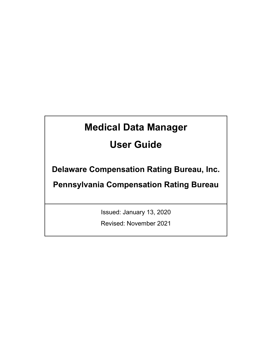# **Medical Data Manager**

# **User Guide**

**Delaware Compensation Rating Bureau, Inc.** 

**Pennsylvania Compensation Rating Bureau**

Issued: January 13, 2020

Revised: November 2021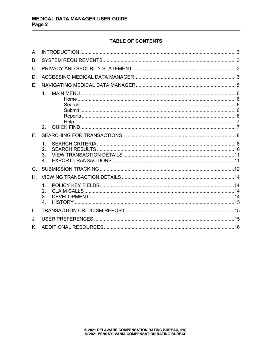# **TABLE OF CONTENTS**

| $A_{1}$ |                                  |  |
|---------|----------------------------------|--|
| Β.      |                                  |  |
| C.      |                                  |  |
| D.      |                                  |  |
| F.      |                                  |  |
|         | 1 <sub>1</sub><br>2.             |  |
| F.      |                                  |  |
|         | 1.<br>2.<br>3.<br>$\mathbf{4}$ . |  |
| G.      |                                  |  |
| Н.      |                                  |  |
|         | 1.<br>2.<br>3.<br>$\overline{4}$ |  |
| I.      |                                  |  |
| J.      |                                  |  |
| K.      |                                  |  |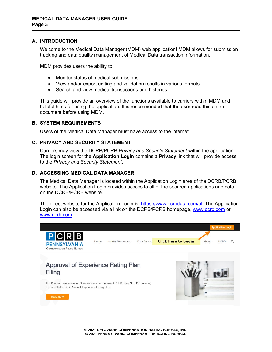## <span id="page-2-0"></span>**A. INTRODUCTION**

Welcome to the Medical Data Manager (MDM) web application! MDM allows for submission tracking and data quality management of Medical Data transaction information.

MDM provides users the ability to:

- Monitor status of medical submissions
- View and/or export editing and validation results in various formats
- Search and view medical transactions and histories

This guide will provide an overview of the functions available to carriers within MDM and helpful hints for using the application. It is recommended that the user read this entire document before using MDM.

#### <span id="page-2-1"></span>**B. SYSTEM REQUIREMENTS**

Users of the Medical Data Manager must have access to the internet.

#### <span id="page-2-2"></span>**C. PRIVACY AND SECURITY STATEMENT**

Carriers may view the DCRB/PCRB *Privacy and Security Statement* within the application. The login screen for the **Application Login** contains a **Privacy** link that will provide access to the *Privacy and Security Statement*.

#### <span id="page-2-3"></span>**D. ACCESSING MEDICAL DATA MANAGER**

The Medical Data Manager is located within the Application Login area of the DCRB/PCRB website. The Application Login provides access to all of the secured applications and data on the DCRB/PCRB website.

The direct website for the Application Login is: [https://www.pcrbdata.com/ul.](https://www.pcrbdata.com/ul) The Application Login can also be accessed via a link on the DCRB/PCRB homepage, [www.pcrb.com](http://www.pcrb.com/) or [www.dcrb.com.](http://www.dcrb.com/)



**© 2021 DELAWARE COMPENSATION RATING BUREAU, INC. © 2021 PENNSYLVANIA COMPENSATION RATING BUREAU**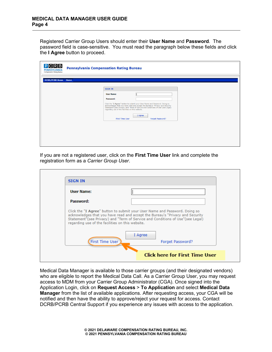Registered Carrier Group Users should enter their **User Name** and **Password**. The password field is case-sensitive. You must read the paragraph below these fields and click the **I Agree** button to proceed.

| $P$ CRB<br><b>PENNSYLVANIA</b><br>Compensation Rating Bureau | <b>Pennsylvania Compensation Rating Bureau</b>                                                                                                                                                                                                                                                                                                                                                                              |
|--------------------------------------------------------------|-----------------------------------------------------------------------------------------------------------------------------------------------------------------------------------------------------------------------------------------------------------------------------------------------------------------------------------------------------------------------------------------------------------------------------|
| <b>DCRB/PCRB Home</b> Home                                   |                                                                                                                                                                                                                                                                                                                                                                                                                             |
|                                                              | <b>SIGN IN</b><br><b>User Name:</b><br>Password:<br>Click the "I Agree" button to submit your User Name and Password. Doing so<br>acknowledges that you have read and accept the Bureau's "Privacy and Security<br>Statement <sup>"</sup> (see Privacy) and "Term of Service and Conditions of Use"(see Legal)<br>regarding use of the facilities on this website.<br>I Agree<br><b>First Time User</b><br>Forget Password? |
|                                                              |                                                                                                                                                                                                                                                                                                                                                                                                                             |

If you are not a registered user, click on the **First Time User** link and complete the registration form as a *Carrier Group User*.

| <b>SIGN IN</b>                                   |                                                                                                                                                                 |
|--------------------------------------------------|-----------------------------------------------------------------------------------------------------------------------------------------------------------------|
| <b>User Name:</b>                                |                                                                                                                                                                 |
| Password:                                        |                                                                                                                                                                 |
|                                                  | Click the "I Agree" button to submit your User Name and Password. Doing so                                                                                      |
| regarding use of the facilities on this website. | acknowledges that you have read and accept the Bureau's "Privacy and Security<br>Statement"(see Privacy) and "Term of Service and Conditions of Use"(see Legal) |
| <b>First Time User</b>                           | I Agree<br>Forget Password?                                                                                                                                     |
|                                                  |                                                                                                                                                                 |

Medical Data Manager is available to those carrier groups (and their designated vendors) who are eligible to report the Medical Data Call. As a Carrier Group User, you may request access to MDM from your Carrier Group Administrator (CGA). Once signed into the Application Login, click on **Request Access** > **To Application** and select **Medical Data Manager** from the list of available applications. After requesting access, your CGA will be notified and then have the ability to approve/reject your request for access. Contact DCRB/PCRB Central Support if you experience any issues with access to the application.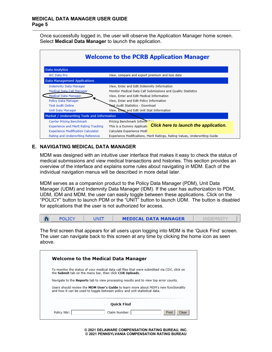Once successfully logged in, the user will observe the Application Manager home screen. Select **Medical Data Manager** to launch the application.

| <b>Welcome to the PCRB Application Manager</b> |                                                                            |  |  |  |  |  |  |
|------------------------------------------------|----------------------------------------------------------------------------|--|--|--|--|--|--|
| <b>Data Analytics</b>                          |                                                                            |  |  |  |  |  |  |
| <b>WC Data Pro</b>                             | View, compare and export premium and loss data                             |  |  |  |  |  |  |
| <b>Data Management Applications</b>            |                                                                            |  |  |  |  |  |  |
| <b>Indemnity Data Manager</b>                  | View, Enter and Edit Indemnity Information                                 |  |  |  |  |  |  |
| Medical Data Call Manager                      | Monitor Medical Data Call Submissions and Quality Statistics               |  |  |  |  |  |  |
| <b>Medical Data Manager</b>                    | View, Enter and Edit Medical Information                                   |  |  |  |  |  |  |
| Policy Data Manager                            | View, Enter and Edit Policy Information                                    |  |  |  |  |  |  |
| <b>Test Audit Online</b>                       | <b>Test Audit Statistics - Download</b>                                    |  |  |  |  |  |  |
| Unit Data Manager                              | View, Enter and Edit Unit Stat Information                                 |  |  |  |  |  |  |
| Market / Underwriting Tools and Information    |                                                                            |  |  |  |  |  |  |
| <b>Carrier Pricing Benchmark</b>               | Pricing Benchmark Inform:                                                  |  |  |  |  |  |  |
| <b>Experience and Merit Rating Tracking</b>    | Click here to launch the application.<br>This is a Dummy Application       |  |  |  |  |  |  |
| <b>Experience Modification Calculator</b>      | Calculate Experience Modif                                                 |  |  |  |  |  |  |
| Rating and Underwriting Reference              | Experience Modifications, Merit Ratings, Rating Values, Underwriting Guide |  |  |  |  |  |  |

# <span id="page-4-0"></span>**E. NAVIGATING MEDICAL DATA MANAGER**

MDM was designed with an intuitive user interface that makes it easy to check the status of medical submissions and view medical transactions and histories. This section provides an overview of the interface and explains some rules about navigating in MDM. Each of the individual navigation menus will be described in more detail later.

MDM serves as a companion product to the Policy Data Manager (PDM), Unit Data Manager (UDM) and Indemnity Data Manager (IDM). If the user has authorization to PDM, UDM, IDM and MDM, the user can easily toggle between these applications. Click on the "POLICY" button to launch PDM or the "UNIT" button to launch UDM. The button is disabled for applications that the user is not authorized for access.

|  |  | JNI7 | <b>MEDICAL DATA MANAGER</b> |  |  |
|--|--|------|-----------------------------|--|--|
|--|--|------|-----------------------------|--|--|

The first screen that appears for all users upon logging into MDM is the 'Quick Find' screen. The user can navigate back to this screen at any time by clicking the home icon as seen above.

| To monitor the status of your medical data call files that were submitted via CDX, click on<br>the Submit tab on the menu bar, then click CDX Uploads.             |
|--------------------------------------------------------------------------------------------------------------------------------------------------------------------|
|                                                                                                                                                                    |
| Navigate to the Reports tab to view processing results and to view top error counts.                                                                               |
| Users should review the MDM User's Guide to learn more about MDM's new functionality<br>and how it can be used to toggle between policy and unit statistical data. |
|                                                                                                                                                                    |

**© 2021 DELAWARE COMPENSATION RATING BUREAU, INC. © 2021 PENNSYLVANIA COMPENSATION RATING BUREAU**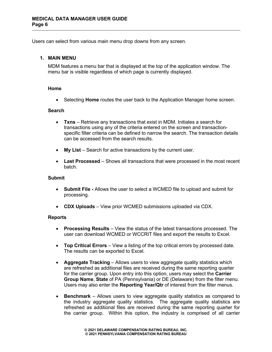Users can select from various main menu drop downs from any screen.

## <span id="page-5-0"></span>**1. MAIN MENU**

MDM features a menu bar that is displayed at the top of the application window. The menu bar is visible regardless of which page is currently displayed.

## <span id="page-5-1"></span>**Home**

• Selecting **Home** routes the user back to the Application Manager home screen.

## <span id="page-5-2"></span>**Search**

- **Txns** Retrieve any transactions that exist in MDM. Initiates a search for transactions using any of the criteria entered on the screen and transactionspecific filter criteria can be defined to narrow the search. The transaction details can be accessed from the search results.
- **My List** Search for active transactions by the current user.
- **Last Processed** Shows all transactions that were processed in the most recent batch.

## <span id="page-5-3"></span>**Submit**

- **Submit File -** Allows the user to select a WCMED file to upload and submit for processing.
- **CDX Uploads** View prior WCMED submissions uploaded via CDX.

## <span id="page-5-4"></span>**Reports**

- **Processing Results** View the status of the latest transactions processed. The user can download WCMED or WCCRIT files and export the results to Excel.
- **Top Critical Errors** View a listing of the top critical errors by processed date. The results can be exported to Excel.
- **Aggregate Tracking**  Allows users to view aggregate quality statistics which are refreshed as additional files are received during the same reporting quarter for the carrier group. Upon entry into this option, users may select the **Carrier Group Name**, **State** of PA (Pennsylvania) or DE (Delaware) from the filter menu. Users may also enter the **Reporting Year/Qtr** of interest from the filter menus.
- **Benchmark**  Allows users to view aggregate quality statistics as compared to the industry aggregate quality statistics. The aggregate quality statistics are refreshed as additional files are received during the same reporting quarter for the carrier group. Within this option, the industry is comprised of all carrier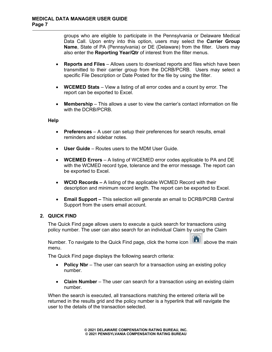groups who are eligible to participate in the Pennsylvania or Delaware Medical Data Call. Upon entry into this option, users may select the **Carrier Group Name**, State of PA (Pennsylvania) or DE (Delaware) from the filter. Users may also enter the **Reporting Year/Qtr** of interest from the filter menus.

- **Reports and Files**  Allows users to download reports and files which have been transmitted to their carrier group from the DCRB/PCRB. Users may select a specific File Description or Date Posted for the file by using the filter.
- **WCEMED Stats** View a listing of all error codes and a count by error. The report can be exported to Excel.
- **Membership** This allows a user to view the carrier's contact information on file with the DCRB/PCRB.

#### <span id="page-6-0"></span>**Help**

- **Preferences** A user can setup their preferences for search results, email reminders and sidebar notes.
- **User Guide** Routes users to the MDM User Guide.
- **WCEMED Errors** A listing of WCEMED error codes applicable to PA and DE with the WCMED record type, tolerance and the error message. The report can be exported to Excel.
- **WCIO Records –** A listing of the applicable WCMED Record with their description and minimum record length. The report can be exported to Excel.
- **Email Support –** This selection will generate an email to DCRB/PCRB Central Support from the users email account.

# <span id="page-6-1"></span>**2. QUICK FIND**

The Quick Find page allows users to execute a quick search for transactions using policy number. The user can also search for an individual Claim by using the Claim

Number. To navigate to the Quick Find page, click the home icon  $\Box$  above the main menu.

The Quick Find page displays the following search criteria:

- **Policy Nbr** The user can search for a transaction using an existing policy number.
- **Claim Number** The user can search for a transaction using an existing claim number.

When the search is executed, all transactions matching the entered criteria will be returned in the results grid and the policy number is a hyperlink that will navigate the user to the details of the transaction selected.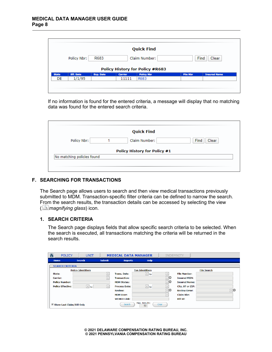|              |                  |                  |                | <b>Quick Find</b>                      |                 |                      |
|--------------|------------------|------------------|----------------|----------------------------------------|-----------------|----------------------|
|              | Policy Nbr:      | R683             |                | Claim Number:                          |                 | <b>Find</b><br>Clear |
|              |                  |                  |                | <b>Policy History for Policy #R683</b> |                 |                      |
|              |                  |                  |                |                                        |                 |                      |
| <b>State</b> | <b>Eff. Date</b> | <b>Exp. Date</b> | <b>Carrier</b> | <b>Policy Nbr</b>                      | <b>File Nbr</b> | <b>Insured Name</b>  |
| DE           | 1/1/95           |                  | 11111          | R683                                   |                 |                      |

If no information is found for the entered criteria, a message will display that no matching data was found for the entered search criteria.

|                            | <b>Quick Find</b>                   |               |
|----------------------------|-------------------------------------|---------------|
| Policy Nbr:                | Claim Number:                       | Find<br>Clear |
|                            | <b>Policy History for Policy #1</b> |               |
| No matching policies found |                                     |               |
|                            |                                     |               |

## <span id="page-7-0"></span>**F. SEARCHING FOR TRANSACTIONS**

The Search page allows users to search and then view medical transactions previously submitted to MDM. Transaction-specific filter criteria can be defined to narrow the search. From the search results, the transaction details can be accessed by selecting the view ( *magnifying glass*) icon.

## <span id="page-7-1"></span>**1. SEARCH CRITERIA**

The Search page displays fields that allow specific search criteria to be selected. When the search is executed, all transactions matching the criteria will be returned in the search results.

| 谷<br><b>POLICY</b>        | UNIT                        |               | <b>MEDICAL DATA MANAGER</b> |                            | <b>INDEMNITY</b> |                      |                    |
|---------------------------|-----------------------------|---------------|-----------------------------|----------------------------|------------------|----------------------|--------------------|
| Home                      | <b>Search</b>               | <b>Submit</b> | <b>Reports</b>              | <b>Help</b>                |                  |                      |                    |
| <b>SEARCH CRITERIA</b>    |                             |               |                             |                            |                  |                      |                    |
|                           | <b>Policy Identifiers</b>   |               |                             | <b>Txn Identifiers</b>     |                  |                      | <b>File Search</b> |
| State:                    |                             | $\checkmark$  | <b>Trans. Date:</b>         | $\vert \vee \vert$ to      | $\vee$           | <b>File Number:</b>  |                    |
| <b>Carrier:</b>           |                             | $\checkmark$  | <b>Transaction:</b>         |                            | ⊽∣               | <b>Tnsured FFTN:</b> |                    |
| <b>Policy Number:</b>     |                             |               | <b>MDM Status:</b>          |                            | ▽ ●              | <b>Insured Name:</b> |                    |
| <b>Policy Effective:</b>  | $\vert \mathbf{v} \vert$ to | $\checkmark$  | <b>Process Date:</b>        | $\boxed{\triangledown}$ to | $\vee$           | City, ST or ZIP:     |                    |
|                           |                             |               | <b>Review:</b>              |                            | ⊽⊝               | <b>Review Error:</b> | ⊽⊝                 |
|                           |                             |               | <b>MDM User:</b>            |                            | $\vee$           | <b>Claim Nbr:</b>    |                    |
|                           |                             |               | <b>WCMED Link:</b>          |                            |                  | Bill Id:             |                    |
| Show Last Claim/Bill Only |                             |               | Search                      | Max. Results:<br>50        | Clear            |                      |                    |

**© 2021 DELAWARE COMPENSATION RATING BUREAU, INC. © 2021 PENNSYLVANIA COMPENSATION RATING BUREAU**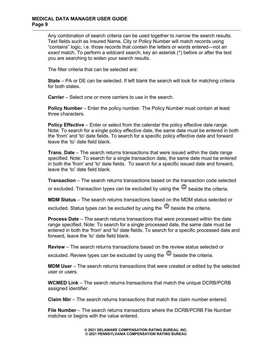#### **MEDICAL DATA MANAGER USER GUIDE Page 9**

Any combination of search criteria can be used together to narrow the search results. Text fields such as Insured Name, City or Policy Number will match records using "contains" logic, i.e. those records that *contain* the letters or words entered—not an *exact* match. To perform a wildcard search, key an asterisk (\*) before or after the text you are searching to widen your search results.

The filter criteria that can be selected are:

**State** – PA or DE can be selected. If left blank the search will look for matching criteria for both states.

**Carrier** – Select one or more carriers to use in the search.

**Policy Number** – Enter the policy number. The Policy Number must contain at least three characters.

**Policy Effective** – Enter or select from the calendar the policy effective date range. Note: To search for a single policy effective date, the same date must be entered in both the 'from' and 'to' date fields. To search for a specific policy effective date and forward leave the 'to' date field blank.

**Trans. Date** – The search returns transactions that were issued within the date range specified. Note: To search for a single transaction date, the same date must be entered in both the 'from' and 'to' date fields. To search for a specific issued date and forward, leave the 'to' date field blank.

**Transaction** – The search returns transactions based on the transaction code selected

or excluded. Transaction types can be excluded by using the  $\blacksquare$  beside the criteria.

**MDM Status** – The search returns transactions based on the MDM status selected or

excluded. Status types can be excluded by using the  $\bullet$  beside the criteria.

**Process Date** – The search returns transactions that were processed within the date range specified. Note: To search for a single processed date, the same date must be entered in both the 'from' and 'to' date fields. To search for a specific processed date and forward, leave the 'to' date field blank.

**Review** – The search returns transactions based on the review status selected or excluded. Review types can be excluded by using the  $\blacksquare$  beside the criteria.

**MDM User** – The search returns transactions that were created or edited by the selected user or users.

**WCMED Link** – The search returns transactions that match the unique DCRB/PCRB assigned identifier.

**Claim Nbr** – The search returns transactions that match the claim number entered.

**File Number** – The search returns transactions where the DCRB/PCRB File Number matches or begins with the value entered.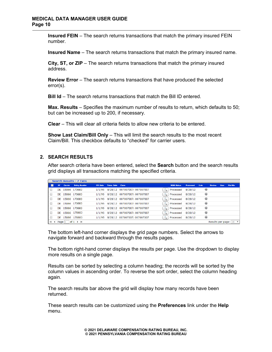**Insured FEIN** – The search returns transactions that match the primary insured FEIN number.

**Insured Name** – The search returns transactions that match the primary insured name.

**City, ST, or ZIP** – The search returns transactions that match the primary insured address.

**Review Error** – The search returns transactions that have produced the selected error(s).

**Bill Id** – The search returns transactions that match the Bill ID entered.

**Max. Results** – Specifies the maximum number of results to return, which defaults to 50; but can be increased up to 200, if necessary.

**Clear** – This will clear all criteria fields to allow new criteria to be entered.

**Show Last Claim/Bill Only** – This will limit the search results to the most recent Claim/Bill. This checkbox defaults to "checked" for carrier users.

# <span id="page-9-0"></span>**2. SEARCH RESULTS**

After search criteria have been entered, select the **Search** button and the search results grid displays all transactions matching the specified criteria.

|           |          | <b>Search Results - 7 Txns</b> |                  |                          |                                     |                           |                  |               |               |             |                                      |
|-----------|----------|--------------------------------|------------------|--------------------------|-------------------------------------|---------------------------|------------------|---------------|---------------|-------------|--------------------------------------|
| <b>ST</b> | Carrier  | <b>Policy Number</b>           | <b>Eff. Date</b> | <b>Trans. Date Claim</b> |                                     | <b>MDM Status</b>         | <b>Processed</b> | Link          | <b>Review</b> | <b>User</b> | <b>File Nbr</b>                      |
|           |          | DE 15066 170683                | 1/1/95           |                          | 8/28/12 007007007: 007007007        | Processed<br>$\mathbb{Q}$ | 8/28/12          | ◉             |               |             |                                      |
|           |          | DE 15066 170683                |                  |                          | 1/1/95 8/28/12 007007007: 007007007 | Processed<br>$\alpha$     | 8/28/12          | 0             |               |             |                                      |
|           |          | DE 15066 170683                |                  |                          | 1/1/95 8/28/12 007007007: 007007007 | Processed<br>$\alpha$     | 8/28/12          | ۳             |               |             |                                      |
|           |          | DE 15066 170683                | 1/1/95           |                          | 8/28/12 007007007: 007007007        | Processed<br>$\alpha$     | 8/28/12          | 0             |               |             |                                      |
|           |          | DE 15066 170683                | 1/1/95           |                          | 8/28/12 007007007: 007007007        | Processed<br>$\alpha$     | 8/28/12          | 0             |               |             |                                      |
|           |          | DE 15066 170683                | 1/1/95           |                          | 8/28/12 007007007: 007007007        | Processed<br>$\mathbf{a}$ | 8/28/12          | $\circledast$ |               |             |                                      |
|           | DE 15066 | 170683                         | 1/1/95           |                          | 8/28/12 007007007: 007007007        | Processed<br>a            | 8/28/12          | ⊕             |               |             |                                      |
| Page 1    |          | of $1 \rightarrow \mathbb{N}$  |                  |                          |                                     |                           |                  |               |               |             | Results per page: $ 20 \nabla \cdot$ |

The bottom left-hand corner displays the grid page numbers. Select the arrows to navigate forward and backward through the results pages.

The bottom right-hand corner displays the results per page. Use the dropdown to display more results on a single page.

Results can be sorted by selecting a column heading; the records will be sorted by the column values in ascending order. To reverse the sort order, select the column heading again.

The search results bar above the grid will display how many records have been returned.

These search results can be customized using the **Preferences** link under the **Help** menu.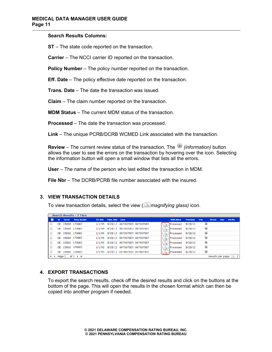#### **Search Results Columns:**

**ST** – The state code reported on the transaction.

**Carrier** – The NCCI carrier ID reported on the transaction.

**Policy Number** – The policy number reported on the transaction.

**Eff. Date** – The policy effective date reported on the transaction.

**Trans. Date** – The date the transaction was issued.

**Claim** – The claim number reported on the transaction.

**MDM Status** – The current MDM status of the transaction.

**Processed** – The date the transaction was processed.

**Link** – The unique PCRB/DCRB WCMED Link associated with the transaction.

**Review** – The current review status of the transaction. The *(information)* button allows the user to see the errors on the transaction by hovering over the icon. Selecting the information button will open a small window that lists all the errors.

**User** – The name of the person who last edited the transaction in MDM.

**File Nbr** – The DCRB/PCRB file number associated with the insured.

# <span id="page-10-0"></span>**3. VIEW TRANSACTION DETAILS**

To view transaction details, select the view ( *magnifying glass)* icon.

|           |         | Search Results - 7 Txns       |                  |                    |                              |                   |                  |               |               |      |                                   |
|-----------|---------|-------------------------------|------------------|--------------------|------------------------------|-------------------|------------------|---------------|---------------|------|-----------------------------------|
| <b>ST</b> | Carrier | <b>Policy Number</b>          | <b>Eff. Date</b> | <b>Trans. Date</b> | <b>Claim</b>                 | <b>MDM Status</b> | <b>Processed</b> | Link          | <b>Review</b> | User | <b>File Nbr</b>                   |
| DE        |         | 15066 170683                  | 1/1/95           |                    | 8/28/12 007007007: 007007007 | Processed         | 8/28/12          | 0             |               |      |                                   |
| DE.       |         | 15066 170683                  | 1/1/95           |                    | 8/28/12 007007007: 007007007 | Processed         | 8/28/12          | 0             |               |      |                                   |
| DE        |         | 15066 170683                  | 1/1/95           |                    | 8/28/12 007007007: 007007007 | Processed         | 8/28/12          | 0             |               |      |                                   |
| DF        |         | 15066 170683                  | 1/1/95           |                    | 8/28/12 007007007: 007007007 | Processed         | 8/28/12          | 0             |               |      |                                   |
| DE        |         | 15066 170683                  | 1/1/95           |                    | 8/28/12 007007007: 007007007 | Processed         | 8/28/12          | ◉             |               |      |                                   |
| DE        |         | 15066 170683                  | 1/1/95           |                    | 8/28/12 007007007: 007007007 | Processed         | 8/28/12          | $\circledast$ |               |      |                                   |
| DE        |         | 15066 170683                  | 1/1/95           |                    | 8/28/12 007007007: 007007007 | Processed         | 8/28/12          | 0             |               |      |                                   |
| Page 1    |         | of $1 \rightarrow \mathbb{N}$ |                  |                    |                              |                   |                  |               |               |      | Results per page:   20 $\sqrt{ }$ |

# <span id="page-10-1"></span>**4. EXPORT TRANSACTIONS**

To export the search results, check off the desired results and click on the buttons at the bottom of the page. This will open the results in the chosen format which can then be copied into another program if needed.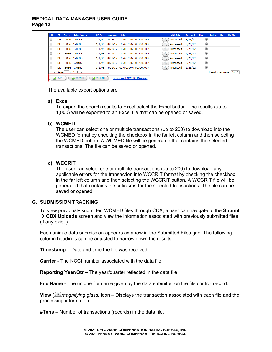# **MEDICAL DATA MANAGER USER GUIDE Page 12**

|        | <b>ST</b>    | Carrier | <b>Policy Number</b>               | <b>Eff.</b> Date | <b>Trans. Date Claim</b> |                                     | <b>MDM Status</b>         | Processed | Link       | <b>Review</b> | <b>Liker</b> | <b>File Nbr</b>        |
|--------|--------------|---------|------------------------------------|------------------|--------------------------|-------------------------------------|---------------------------|-----------|------------|---------------|--------------|------------------------|
|        |              |         | DE 15066 170683                    |                  |                          | 1/1/95 8/28/12 007007007: 007007007 | Processed<br>$\mathbb{Q}$ | 8/28/12   | ◉          |               |              |                        |
| u      |              |         | DE 15066 170683                    |                  |                          | 1/1/95 8/28/12 007007007: 007007007 | Processed<br>$\mathbb{Q}$ | 8/28/12   | $^{\circ}$ |               |              |                        |
| u      |              |         | DE 15066 170683                    |                  |                          | 1/1/95 8/28/12 007007007: 007007007 | Processed<br>$\mathbb{Q}$ | 8/28/12   | $^{\circ}$ |               |              |                        |
| $\Box$ |              |         | DE 15066 170683                    |                  |                          | 1/1/95 8/28/12 007007007: 007007007 | $\mathbb{Q}$<br>Processed | 8/28/12   | ◉          |               |              |                        |
| u      |              |         | DE 15066 170683                    |                  |                          | 1/1/95 8/28/12 007007007: 007007007 | $\alpha$<br>Processed     | 8/28/12   | 0          |               |              |                        |
|        |              |         | DE 15066 170683                    |                  |                          | 1/1/95 8/28/12 007007007: 007007007 | $\alpha$<br>Processed     | 8/28/12   | ◉          |               |              |                        |
|        |              |         | DE 15066 170683                    |                  |                          | 1/1/95 8/28/12 007007007: 007007007 | Processed<br>a            | 8/28/12   | ۳          |               |              |                        |
|        |              | Page 1  | $of 1$ $\rightarrow$ $\rightarrow$ |                  |                          |                                     |                           |           |            |               |              | Results per page:   20 |
|        | <b>Excel</b> |         | <b>NOMED</b>                       | <b>EX</b> WCCRIT |                          | <b>Download WCCRITViewer</b>        |                           |           |            |               |              |                        |

The available export options are:

## **a) Excel**

To export the search results to Excel select the Excel button. The results (up to 1,000) will be exported to an Excel file that can be opened or saved.

## **b) WCMED**

The user can select one or multiple transactions (up to 200) to download into the WCMED format by checking the checkbox in the far left column and then selecting the WCMED button. A WCMED file will be generated that contains the selected transactions. The file can be saved or opened.

#### **c) WCCRIT**

The user can select one or multiple transactions (up to 200) to download any applicable errors for the transaction into WCCRIT format by checking the checkbox in the far left column and then selecting the WCCRIT button. A WCCRIT file will be generated that contains the criticisms for the selected transactions. The file can be saved or opened.

## <span id="page-11-0"></span>**G. SUBMISSION TRACKING**

To view previously submitted WCMED files through CDX, a user can navigate to the **Submit → CDX Uploads** screen and view the information associated with previously submitted files (if any exist.)

Each unique data submission appears as a row in the Submitted Files grid. The following column headings can be adjusted to narrow down the results:

**Timestamp** – Date and time the file was received

**Carrier** - The NCCI number associated with the data file.

**Reporting Year/Qtr** – The year/quarter reflected in the data file.

**File Name** - The unique file name given by the data submitter on the file control record.

**View** ( *magnifying glass)* icon – Displays the transaction associated with each file and the processing information.

**#Txns –** Number of transactions (records) in the data file.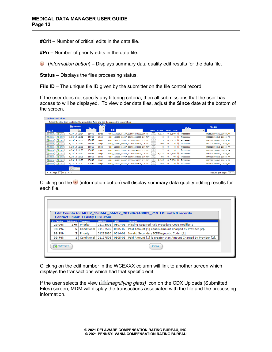**#Crit –** Number of critical edits in the data file.

**#Pri –** Number of priority edits in the data file.

(*information button*) – Displays summary data quality edit results for the data file.

**Status** – Displays the files processing status.

**File ID** – The unique file ID given by the submitter on the file control record.

If the user does not specify any filtering criteria, then all submissions that the user has access to will be displayed. To view older data files, adjust the **Since** date at the bottom of the screen.

|                                            | <b>Timestamp</b><br><b>Before:</b> | <b>Carrier</b> | <b>Rpt.Qtr</b> |                                        |             |                |                                                | <b>Status</b> | <b>FileID</b>         |
|--------------------------------------------|------------------------------------|----------------|----------------|----------------------------------------|-------------|----------------|------------------------------------------------|---------------|-----------------------|
| <b>Export</b>                              | $\vert \vee \vert$                 |                | $\mathbf{v}$   | <b>File</b>                            | <b>View</b> | #Txns          | #Crit<br>#Pri                                  |               | ▾                     |
| <b>R</b> CRIT<br>$\blacktriangleright$ MED | 6/28/19 11:34                      | 15066          | 19Q2           | MCEP_15066C_11137_201906240803_219.TXT |             | 8,013          | $\mathbf{u}$<br>5.549<br>0                     | Processed     | M111201905N0_22019_PA |
| <b>R</b> MED<br><b>R</b> CRIT              | 6/28/19 11:32                      | 15066          | 19Q2           | MCEP_15066C_22237_201906240803_219.TXT |             | 2              | 2 <sup>0</sup><br>$\mathbf{0}$                 | Processed     | M222201905N0_22019_PA |
| <b>R</b> CRIT<br><b>EX</b> MED             | 6/28/19 11:31                      | 15066          | 1902           | MCEP 15066C 33337 201906240803 219.TXT |             | 1,579          | $\bullet$<br>0, 1, 213                         | Processed     | M333201905N0 22019 PA |
| <b>EX</b> MED<br><b>RIT</b>                | 6/28/19 11:31                      | 15066          | 1902           | MCEP 15066C 99937 201906240803 219.TXT |             | 360            | $\left( \mathbf{1} \right)$<br>$\Omega$<br>276 | Processed     | M999201905N0 22019 PA |
| $\n  NED\n$<br><b>Z</b> CRIT               | 6/28/19 11:30                      | 15066          | 19Q2           | MCEP_15066C_66637_201906240803_219.TXT | a.          | 8              | 8 (i)<br>$\mathbf 0$                           | Processed     | M666201905N0_22019_PA |
| <b>R</b> MED<br><b>R</b> CRIT              | 6/28/19 11:30                      | 15066          | 19Q1           | MCEP_15066C_55537_201906240803_119.TXT |             | $\overline{2}$ | $\Omega$<br>0                                  | Processed     | M555201905N0_12019_PA |
| <b>R</b> MED<br><b>R</b> CRIT              | 6/28/19 11:30                      | 15066          | 19Q2           | MCEP 15066C 44437 201906240803 219.TXT |             | 6,318          | $\mathbf{u}$<br>0, 3,654                       | Processed     | M444201905N0 22019 PA |
| <b>EX</b> MED<br><b>R</b> CRIT             | 6/28/19 11:28                      | 15066          | 1902           | MCEP 15066C 77737 201906240803 219.TXT |             | 98             | $\left( i\right)$<br>49<br>$\Omega$            | Processed     | M777201905N0 22019 PA |
| <b>EX</b> MED<br><b>EX</b> CRIT            | 6/28/19 11:28                      | 15066          | 1902           | MCEP 15066C 00037 201906240803 219.TXT |             | 8,145          | $\left( \frac{1}{2} \right)$<br>0, 5.650       | Processed     | M000201905N0 22019 PA |
| <b>EX</b> MED<br><b>RE</b> CRIT            | 6/28/19 11:25                      | 15066          | 19Q2           | MCEP_15066C_04337_201906240803_219.TXT |             | 649            | $\mathbf{u}$<br>526<br>0                       | Processed     | M043201905N0_22019_PA |

Clicking on the  $\bigcup$  (information button) will display summary data quality editing results for each file.

|                    |                   | <b>Contact Email: TEAM@TEST.com</b> |               |             | Edit Counts for MCEP_15066C_66637_201906240803_219.TXT with 8 records |
|--------------------|-------------------|-------------------------------------|---------------|-------------|-----------------------------------------------------------------------|
| <b>Pct Passing</b> | <b>Edit Count</b> | <b>Tolerance</b>                    | <b>WCEXXX</b> | <b>NCCI</b> | Message                                                               |
| 29.0%              | 279               | Priority                            | 01178001      | 0507-01     | Missing Required Paid Procedure Code Modifier 1                       |
| 98.7%              | 5.                | Conditional                         | 01197505      | 0505-02     | Paid Amount [1] equals Amount Charged by Provider [2].                |
| 99.2%              | з                 | Priority                            | 01222020      | 0514-01     | Invalid Secondary ICDDiagnostic Code: [1]                             |
| 99.7%              |                   | Conditional                         | 01197506      | 0505-03     | Paid Amount [1] is greater than Amount Charged by Provider [2].       |

Clicking on the edit number in the WCEXXX column will link to another screen which displays the transactions which had that specific edit.

If the user selects the view (*Imagnifying glass*) icon on the CDX Uploads (Submitted Files) screen, MDM will display the transactions associated with the file and the processing information.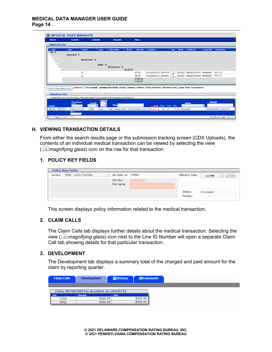| <b>Home</b>                                                                                                                                                                                                                                                                                                                                          | <b>Search</b>                                                                            | <b>Submit</b>           | <b>Reports</b>                         | <b>Help</b>                           |                                                                                                                            |      |                 |                                  |                     |                       |
|------------------------------------------------------------------------------------------------------------------------------------------------------------------------------------------------------------------------------------------------------------------------------------------------------------------------------------------------------|------------------------------------------------------------------------------------------|-------------------------|----------------------------------------|---------------------------------------|----------------------------------------------------------------------------------------------------------------------------|------|-----------------|----------------------------------|---------------------|-----------------------|
| <b>Import Records</b>                                                                                                                                                                                                                                                                                                                                |                                                                                          |                         |                                        |                                       |                                                                                                                            |      |                 |                                  |                     |                       |
|                                                                                                                                                                                                                                                                                                                                                      |                                                                                          |                         |                                        |                                       |                                                                                                                            |      |                 |                                  |                     |                       |
| State                                                                                                                                                                                                                                                                                                                                                | <b>Status</b><br><b>WOCRIT</b>                                                           | Carrier                 | <b>Policy Number</b>                   | <b>Eff.</b> Date<br><b>Issue Date</b> | Transaction                                                                                                                | View | File Nbr        | <b>WOMED Link</b>                | <b>Insured FEIN</b> | <b>Insured Name</b>   |
| $\blacksquare$ PA - 8                                                                                                                                                                                                                                                                                                                                | <b>Processed - 8</b>                                                                     |                         |                                        |                                       |                                                                                                                            |      |                 |                                  |                     |                       |
| $\Theta$                                                                                                                                                                                                                                                                                                                                             |                                                                                          |                         |                                        |                                       |                                                                                                                            |      |                 |                                  |                     |                       |
| Θ                                                                                                                                                                                                                                                                                                                                                    |                                                                                          | <b>Minor Frrors - 8</b> |                                        |                                       |                                                                                                                            |      |                 |                                  |                     |                       |
| $\qquad \qquad \boxdot$<br>$\qquad \qquad \qquad \qquad \qquad \qquad \qquad \qquad \qquad \qquad$                                                                                                                                                                                                                                                   |                                                                                          | $15066 - 8$             |                                        |                                       |                                                                                                                            |      |                 |                                  |                     |                       |
| $\textcolor{red}{\textcolor{blue}{\boldsymbol{\textcolor{blue}{\boldsymbol{\textcolor{blue}{\boldsymbol{\textcolor{blue}{\boldsymbol{\textcolor{blue}{\boldsymbol{\textcolor{blue}{\boldsymbol{\textcolor{blue}{\boldsymbol{\textcolor{blue}{\boldsymbol{\textcolor{blue}{\boldsymbol{\textcolor{blue}{\boldsymbol{}}}}}}}}}}}}}}}}\textcolor{!}{}}$ |                                                                                          |                         | WC1111111-8                            |                                       |                                                                                                                            |      |                 |                                  |                     |                       |
| $\qquad \qquad \boxdot$                                                                                                                                                                                                                                                                                                                              |                                                                                          |                         |                                        | 8/24/07                               |                                                                                                                            |      |                 |                                  |                     |                       |
|                                                                                                                                                                                                                                                                                                                                                      | $\odot$                                                                                  |                         |                                        | 5/2/19                                | PA10000031/01: 22444476                                                                                                    | a    |                 | 3234323 190628M0124441 666666666 |                     | <b>TEST LLC</b>       |
|                                                                                                                                                                                                                                                                                                                                                      | $\circ$                                                                                  |                         |                                        | 5/9/19                                | PA10000091/01: 22444441                                                                                                    |      |                 | 3234323 190628M0124448 666666666 |                     | <b>TEST LLC</b>       |
|                                                                                                                                                                                                                                                                                                                                                      | $\textcircled{\scriptsize{1}}$<br>$\circledcirc$                                         |                         |                                        | 5/23/19                               |                                                                                                                            |      |                 |                                  |                     |                       |
|                                                                                                                                                                                                                                                                                                                                                      |                                                                                          |                         |                                        | 5/30/19                               |                                                                                                                            |      |                 |                                  |                     |                       |
|                                                                                                                                                                                                                                                                                                                                                      |                                                                                          |                         |                                        |                                       | Click on [+] to expand - grouped by State, Status, Review, Carrier, Policy Number, Effective Date, Issue Date, Transaction |      |                 |                                  |                     |                       |
| Sort by State, Carrier, Policy                                                                                                                                                                                                                                                                                                                       |                                                                                          |                         |                                        |                                       |                                                                                                                            |      |                 |                                  |                     |                       |
|                                                                                                                                                                                                                                                                                                                                                      |                                                                                          |                         |                                        |                                       |                                                                                                                            |      |                 |                                  |                     |                       |
|                                                                                                                                                                                                                                                                                                                                                      | Select the view icon to display the associated Txns and the file processing information. |                         |                                        |                                       |                                                                                                                            |      |                 |                                  |                     |                       |
| <b>Submitted Files</b>                                                                                                                                                                                                                                                                                                                               |                                                                                          | <b>Rpt.Qtr</b>          |                                        |                                       |                                                                                                                            |      |                 |                                  |                     |                       |
|                                                                                                                                                                                                                                                                                                                                                      |                                                                                          |                         |                                        |                                       |                                                                                                                            |      |                 | <b>Status</b>                    | <b>FileTD</b>       |                       |
|                                                                                                                                                                                                                                                                                                                                                      | <b>Timestamp</b><br><b>Before:</b>                                                       | <b>Carrier</b>          |                                        |                                       |                                                                                                                            |      |                 |                                  |                     |                       |
| <b>Export</b>                                                                                                                                                                                                                                                                                                                                        | $\backsim$                                                                               | $\mathbf{v}$            | <b>File</b>                            |                                       | View #Txns #Crit #Pri                                                                                                      |      |                 |                                  | $\mathbf{v}$        |                       |
| $(R)$ CRIT<br>$\sqrt{2}$ MED                                                                                                                                                                                                                                                                                                                         | 6/28/19 11:30<br>Since:                                                                  | 15066<br>1902           | MCEP_15066C_66637_201906240803_219.TXT |                                       | 8<br>0                                                                                                                     |      | 8 (i) Processed |                                  |                     | M666201905N0_22019_PA |

# <span id="page-13-0"></span>**H. VIEWING TRANSACTION DETAILS**

From either the search results page or the submission tracking screen (CDX Uploads), the contents of an individual medical transaction can be viewed by selecting the view (*magnifying glass*) icon on the row for that transaction.

# <span id="page-13-1"></span>**1. POLICY KEY FIELDS**

| <b>Policy Key Fields</b>              |                                  |                        |           |                            |
|---------------------------------------|----------------------------------|------------------------|-----------|----------------------------|
| 15066 - Carrier Test Data<br>Carrier: | $\mathbb{Z}$ DE Policy #: 170683 | <b>Effective Date:</b> | 1/1/95    | $\blacktriangleright$ Edit |
|                                       | File Nbr:                        |                        |           |                            |
|                                       | File Name:                       |                        |           |                            |
|                                       |                                  |                        |           |                            |
|                                       |                                  | Status:                | Processed |                            |
|                                       |                                  | Review:                |           |                            |
|                                       |                                  |                        |           |                            |

This screen displays policy information related to the medical transaction.

# <span id="page-13-2"></span>**2. CLAIM CALLS**

The Claim Calls tab displays further details about the medical transaction. Selecting the view ( *magnifying glass*) icon next to the Line ID Number will open a separate Claim Call tab showing details for that particular transaction.

## <span id="page-13-3"></span>**3. DEVELOPMENT**

The Development tab displays a summary total of the charged and paid amount for the claim by reporting quarter.

| <b>Claim Calls</b> | <b>Development</b>                              | <b>■ History</b> | <b>EComments</b> |
|--------------------|-------------------------------------------------|------------------|------------------|
|                    | <b>Claim 007007007 for Accident on 19950713</b> |                  |                  |
| Ortr               | Charged                                         | Paid             |                  |
| 1203               | \$566.00                                        |                  | \$509.40         |
| 00Q1               | \$566.00                                        |                  | \$509.40         |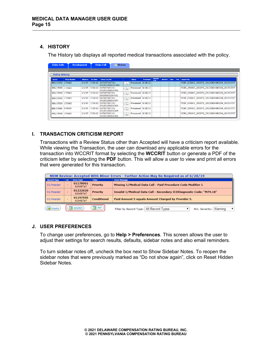# <span id="page-14-0"></span>**4. HISTORY**

The History tab displays all reported medical transactions associated with the policy.

| <b>Claim Calls</b>    |                      | <b>Development</b> |                  | <b>Claim Call</b><br><b>■ History</b>        |                                                      |                     |                  |                      |               |      |      |                                              |
|-----------------------|----------------------|--------------------|------------------|----------------------------------------------|------------------------------------------------------|---------------------|------------------|----------------------|---------------|------|------|----------------------------------------------|
|                       |                      |                    |                  |                                              |                                                      |                     |                  |                      |               |      |      |                                              |
| <b>Policy History</b> |                      |                    |                  |                                              |                                                      |                     |                  |                      |               |      |      |                                              |
| Carrier               | <b>Policy Number</b> | <b>Effective</b>   | <b>Txn Date</b>  | Claim/Txn/Bill                               |                                                      | <b>Status</b>       | <b>Processed</b> | <b>WCMED</b><br>Link | <b>WCCRIT</b> | User | File | <b>Import File</b>                           |
| 888/15066 170683      |                      |                    | $1/1/95$ 7/30/12 | 007007007/01:<br>001001001001/004            | $\mathbb{R}$                                         | Processed $8/28/12$ |                  |                      |               |      |      | MCEP 15066 C 00007D 20120824080304 00153.TXT |
| 888/15066             | 170683               | 1/1/95             | 7/30/12          | 007007007/01:<br>00100100100/006             | $\left( \begin{array}{c} 0 \\ 0 \end{array} \right)$ | Processed 8/28/12   |                  |                      |               |      |      | MCEP_15066C_00007D_20120824080304_00153.TXT  |
| 888/15066             | 170683               | 1/1/95             |                  | 7/30/12 007007007/01:<br>00100100100/001     | $\mathbb{Q}$                                         | Processed 8/28/12   |                  |                      |               |      |      | MCEP 15066 C 00007D 20120824080304 00153.TXT |
| 888/15066             | 170683               | 1/1/95             |                  | 7/30/12 007007007/01:<br>00100100100/007     | $\left( \begin{array}{c} 0 \\ 0 \end{array} \right)$ | Processed 8/28/12   |                  |                      |               |      |      | MCEP 15066 C 00007D 20120824080304 00153.TXT |
| 888/15066 170683      |                      | 1/1/95             |                  | 7/30/12 007007007/01:<br>00100100100/003     | $\mathbb{R}$                                         | Processed 8/28/12   |                  |                      |               |      |      | MCEP 15066 C 00007D 20120824080304 00153.TXT |
| 888/15066             | 170683               | 1/1/95             | 7/30/12          | 007007007/01:<br>00100100100/005             | $\left( \mathbb{R}\right)$                           | Processed 8/28/12   |                  |                      |               |      |      | MCEP 15066C 00007D 20120824080304 00153.TXT  |
| 888/15066 170683      |                      | 1/1/95             |                  | $ 7/30/12 007007007/01$ :<br>00100100100/002 | $\alpha$                                             | Processed 8/28/12   |                  |                      |               |      |      | MCEP 15066C 00007D 20120824080304 00153.TXT  |

## <span id="page-14-1"></span>**I. TRANSACTION CRITICISM REPORT**

Transactions with a Review Status other than Accepted will have a criticism report available. While viewing the Transaction, the user can download any applicable errors for the transaction into WCCRIT format by selecting the **WCCRIT** button or generate a PDF of the criticism letter by selecting the **PDF** button. This will allow a user to view and print all errors that were generated for this transaction.

|                    | MDM Review: Accepted With Minor Errors - Further Action May Be Required as of 6/28/19 |                      |                    |                                                                        |  |  |  |  |  |  |
|--------------------|---------------------------------------------------------------------------------------|----------------------|--------------------|------------------------------------------------------------------------|--|--|--|--|--|--|
| <b>Record Type</b> | LvI                                                                                   | <b>Error Code</b>    | Toler.             | <b>Error Message</b>                                                   |  |  |  |  |  |  |
| 01/Header          |                                                                                       | 01178001<br>b2b687a7 | <b>Priority</b>    | Missing 1/Medical Data Call - Paid Procedure Code Modifier 1           |  |  |  |  |  |  |
| 01/Header          |                                                                                       | 01222020<br>b2b687a7 | <b>Priority</b>    | Invalid 1/Medical Data Call - Secondary ICDDiagnostic Code: "M79.18"   |  |  |  |  |  |  |
| 01/Header          |                                                                                       | 01197505<br>b2b687a7 | <b>Conditional</b> | Paid Amount 5 equals Amount Charged by Provider 5.                     |  |  |  |  |  |  |
| Inquiry            |                                                                                       | <b>WCCRIT</b>        | <b>R</b> PDF       | Filter by Record Type: All Record Types<br>Min. Severity: Warning<br>▼ |  |  |  |  |  |  |

## <span id="page-14-2"></span>**J. USER PREFERENCES**

To change user preferences, go to **Help > Preferences**. This screen allows the user to adjust their settings for search results, defaults, sidebar notes and also email reminders.

To turn sidebar notes off, uncheck the box next to Show Sidebar Notes. To reopen the sidebar notes that were previously marked as "Do not show again", click on Reset Hidden Sidebar Notes.